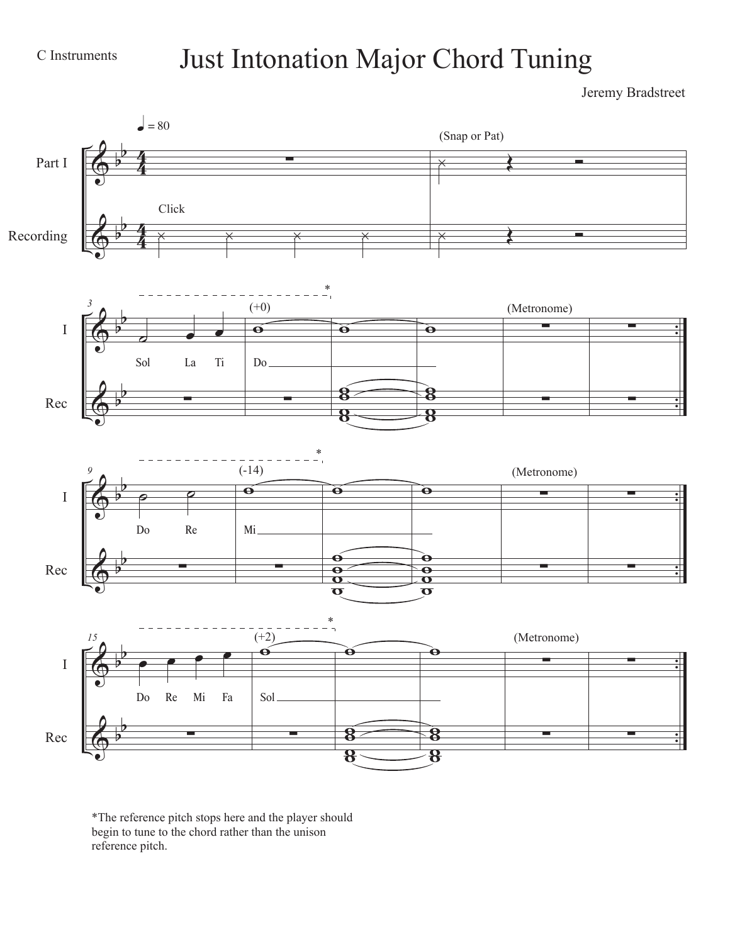Jeremy Bradstreet

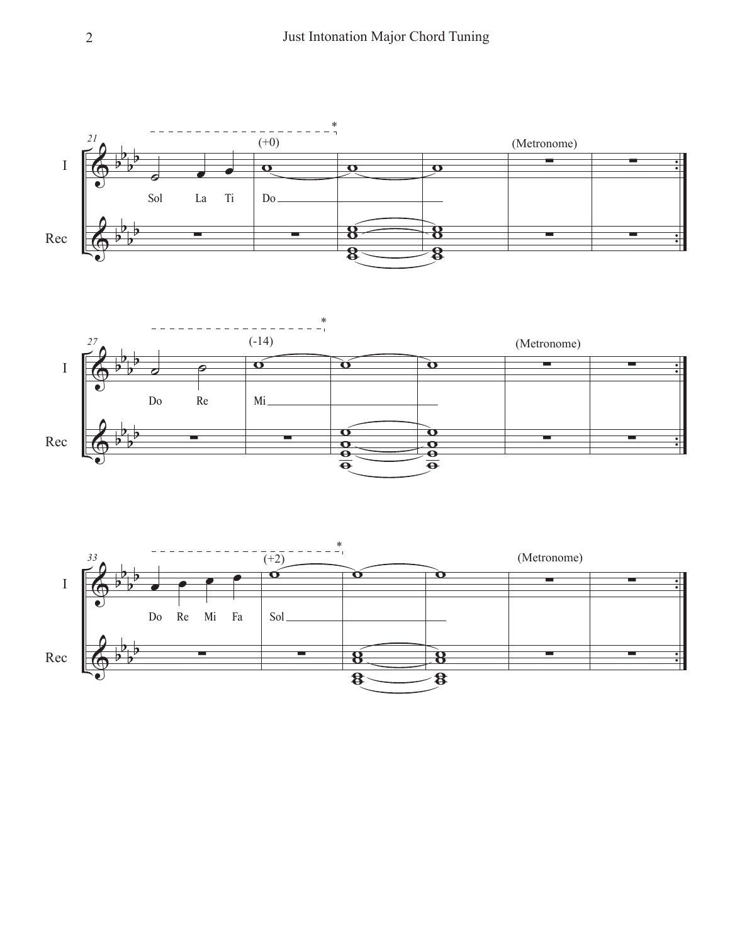





b b

∑

∑



 $\overrightarrow{B}$  $\overline{\mathbf{g}}$ 

∑

 $\overline{\mathbf{8}}$  $\overline{\mathbf{g}}$  .<br>.<br>. .<br>.<br>.

∑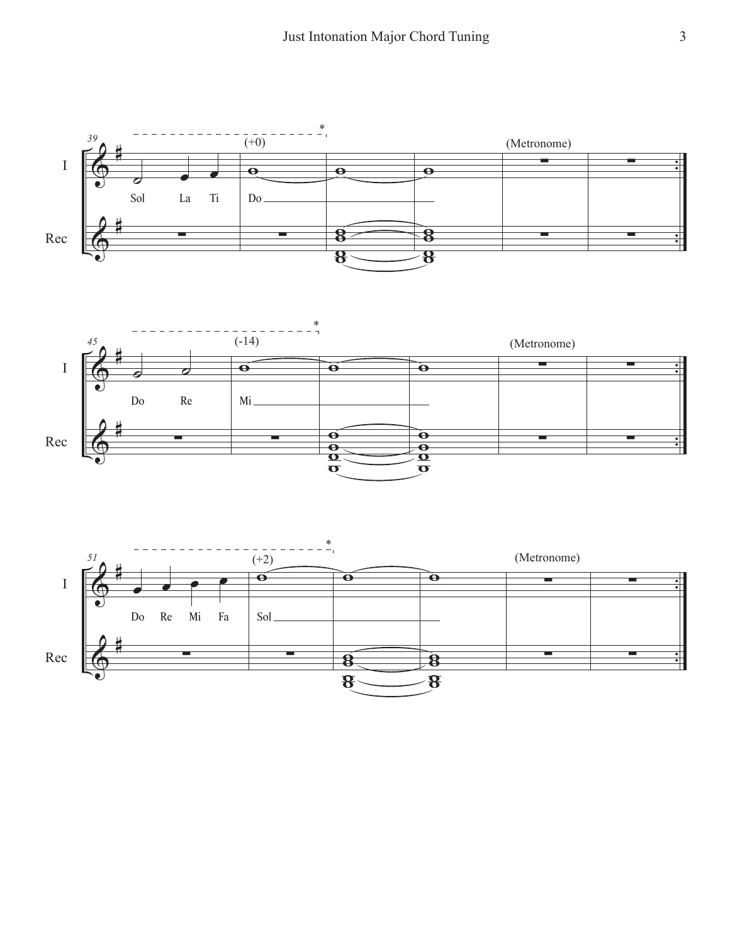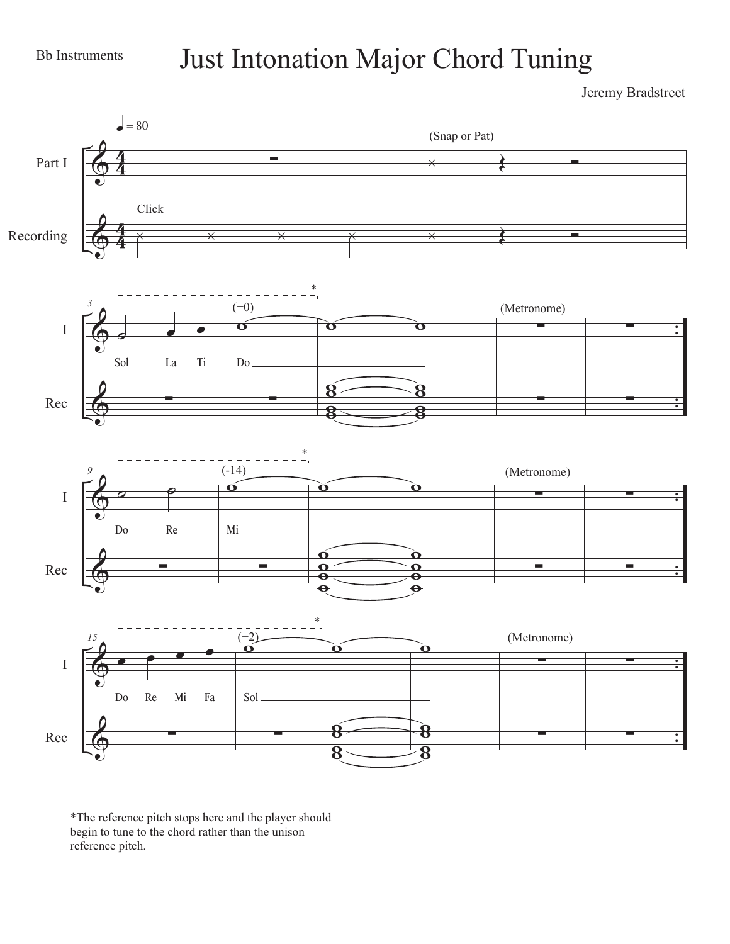Jeremy Bradstreet



\*The reference pitch stops here and the player should begin to tune to the chord rather than the unison reference pitch.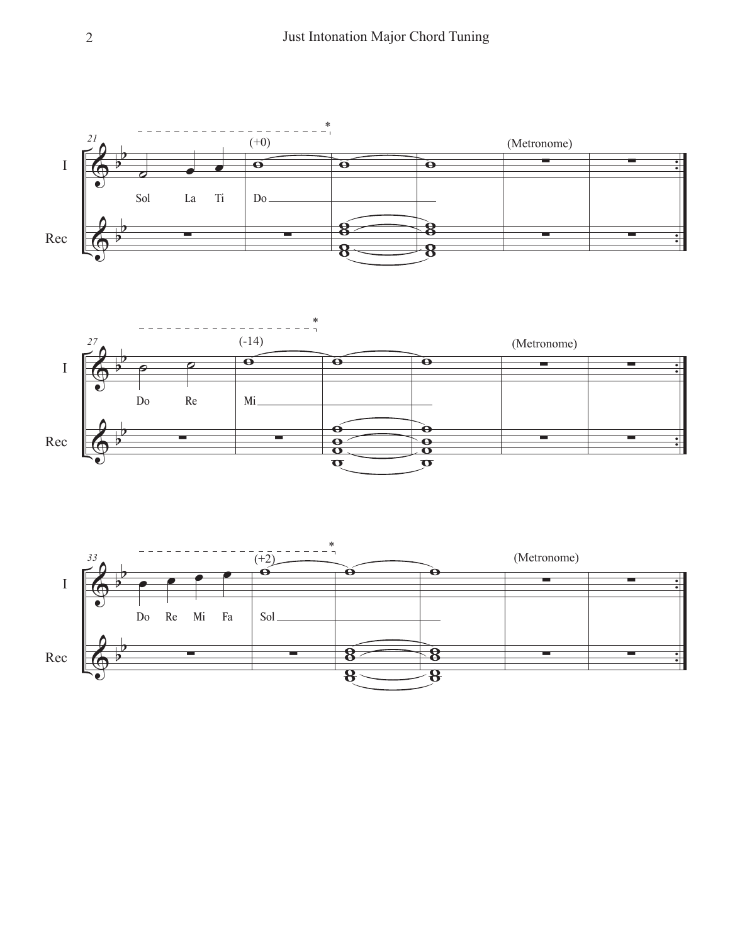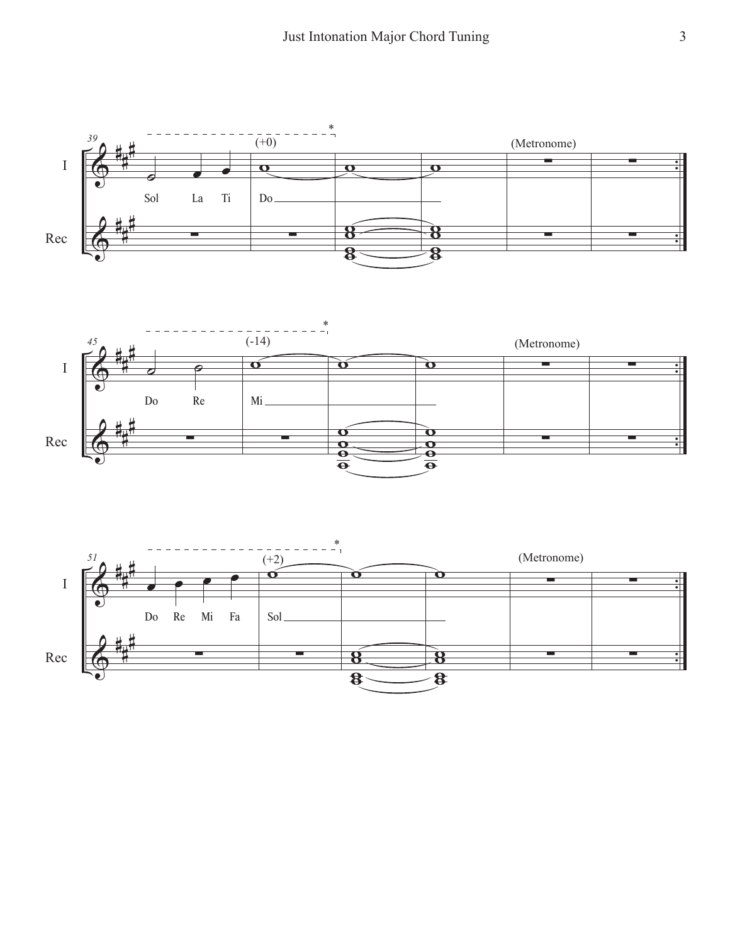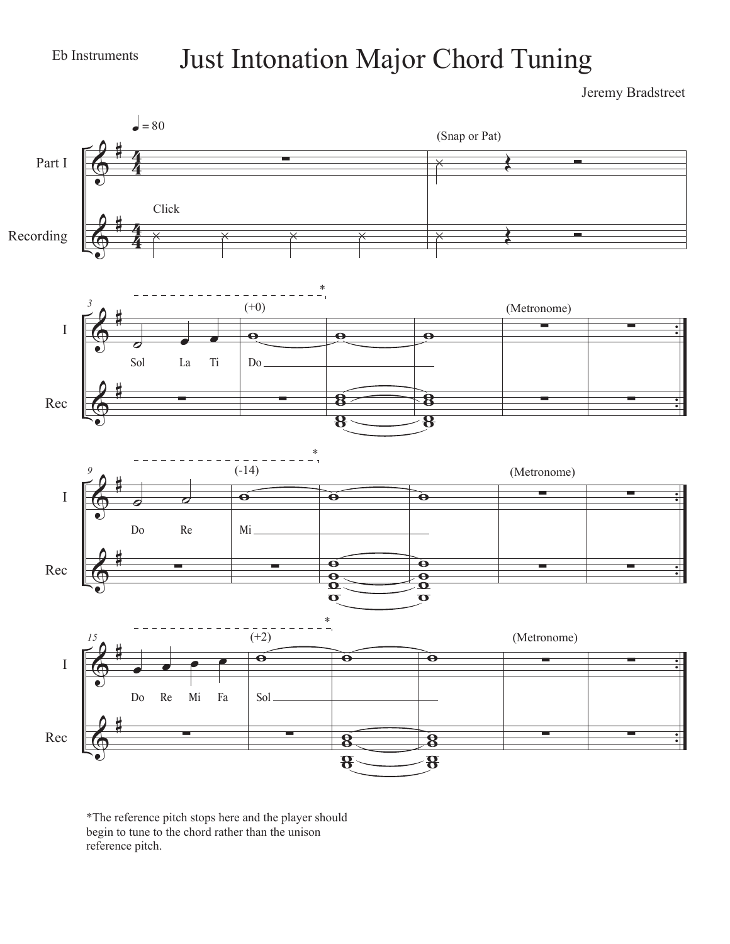Jeremy Bradstreet

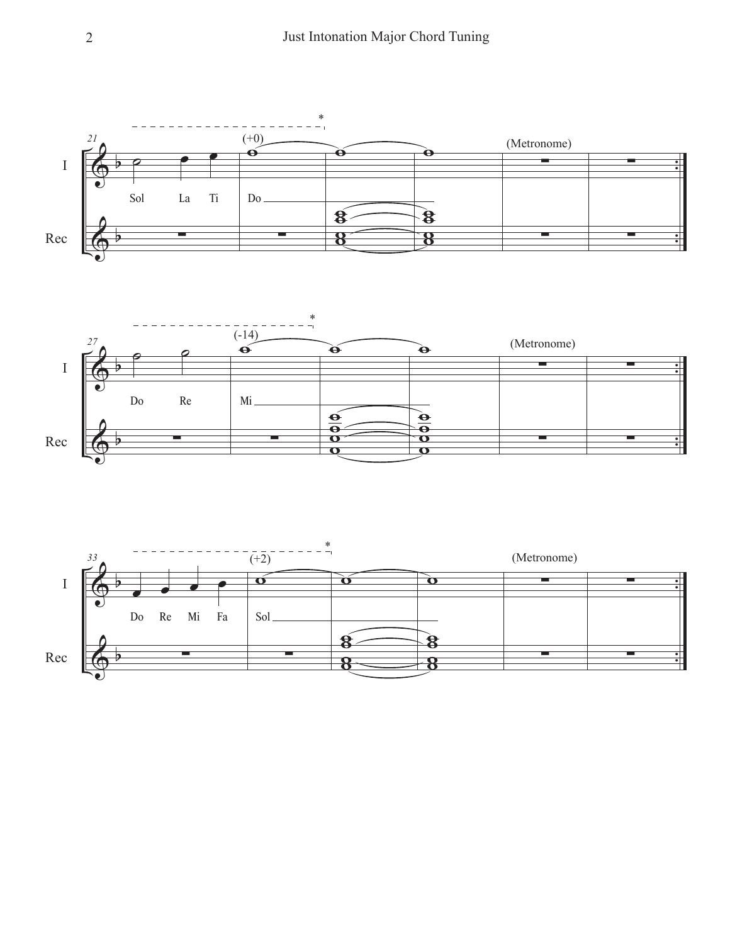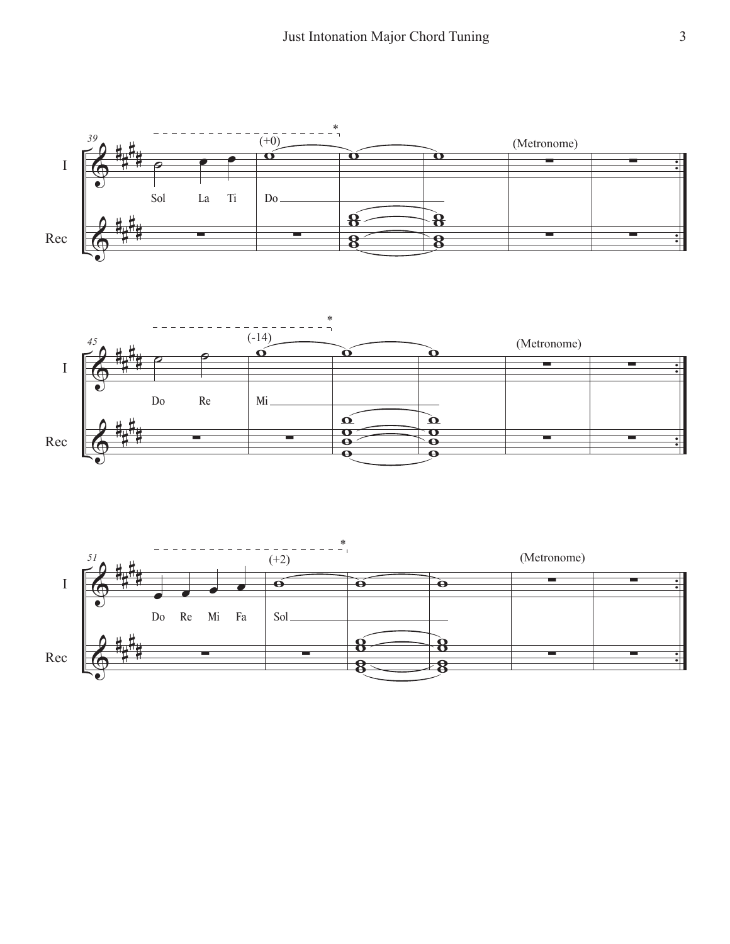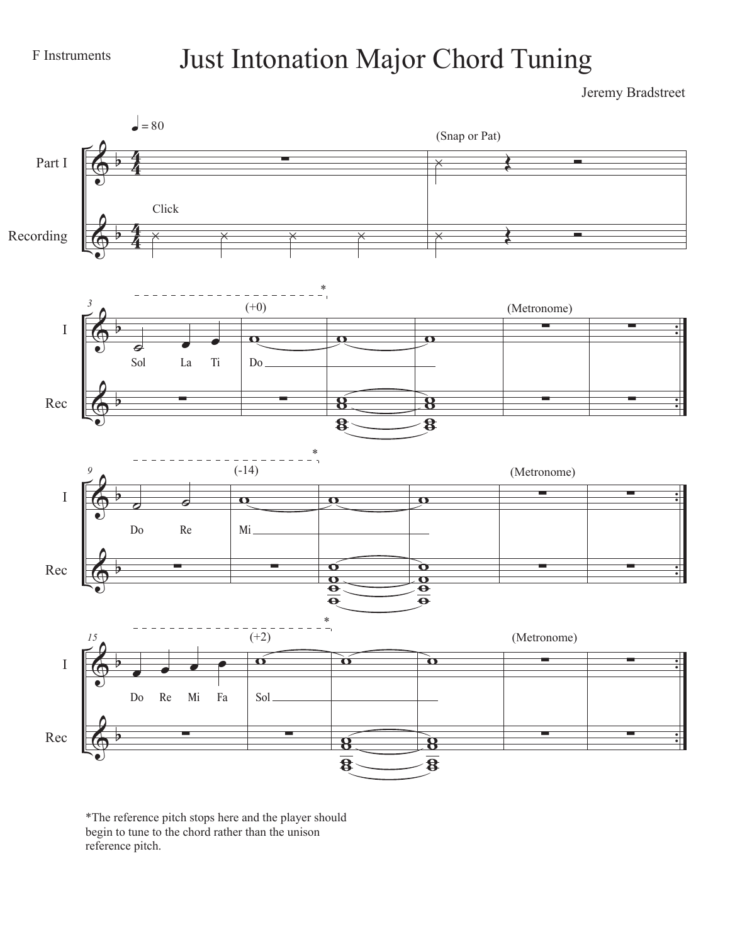Jeremy Bradstreet

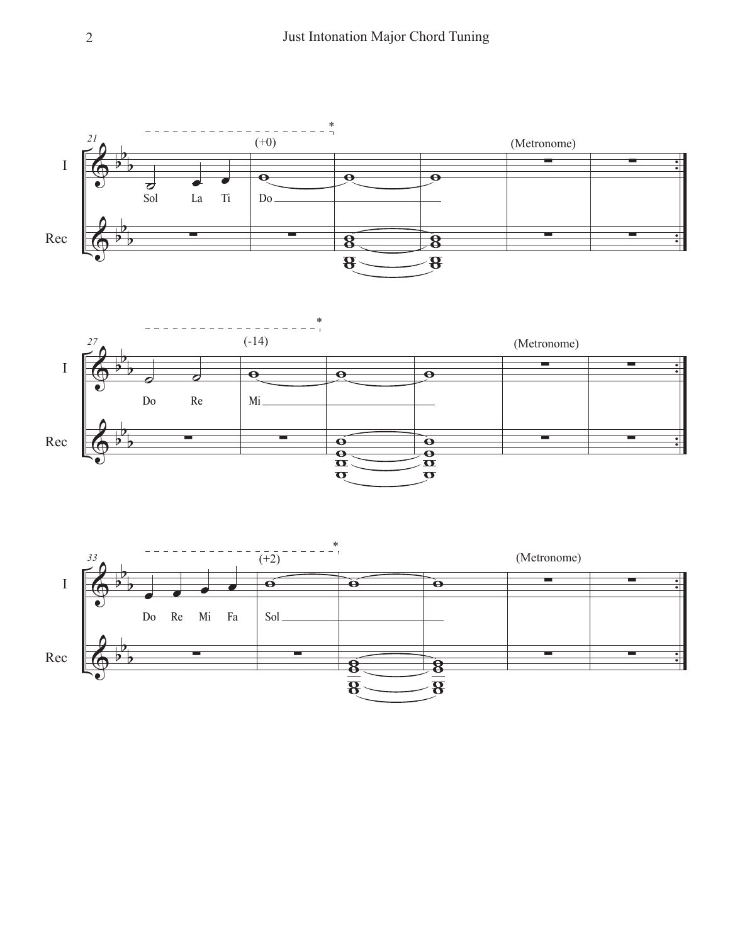

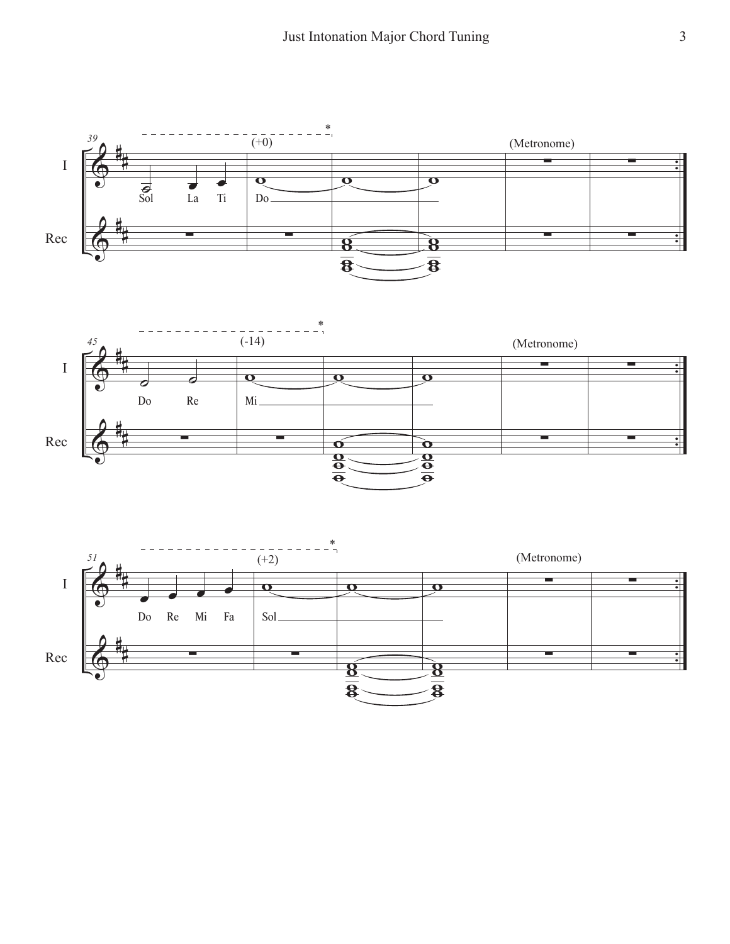

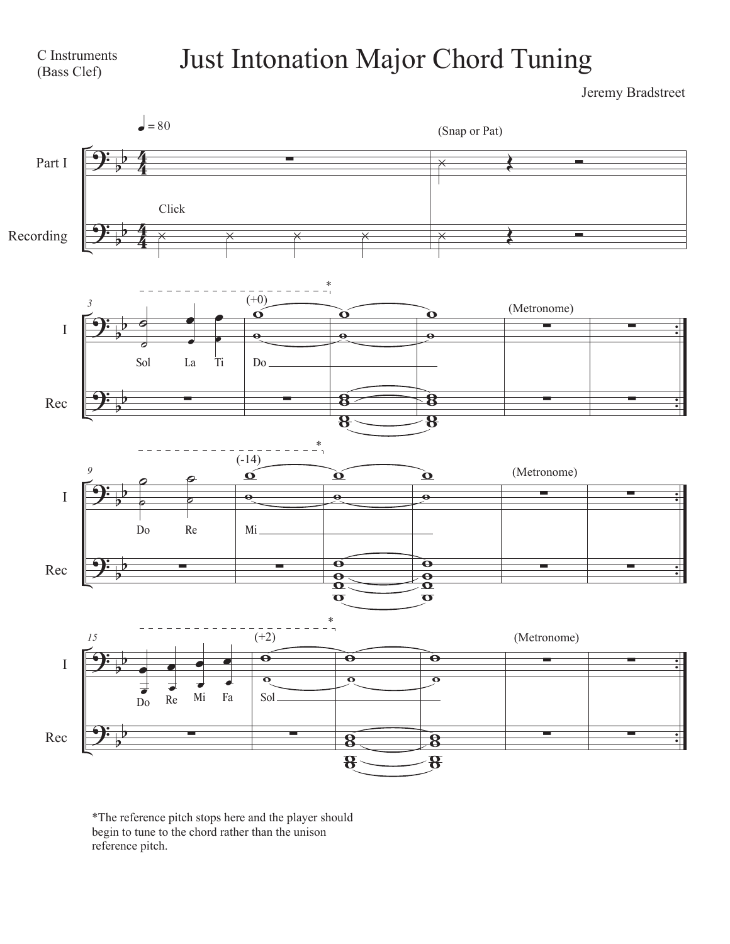C Instruments (Bass Clef)

Jeremy Bradstreet

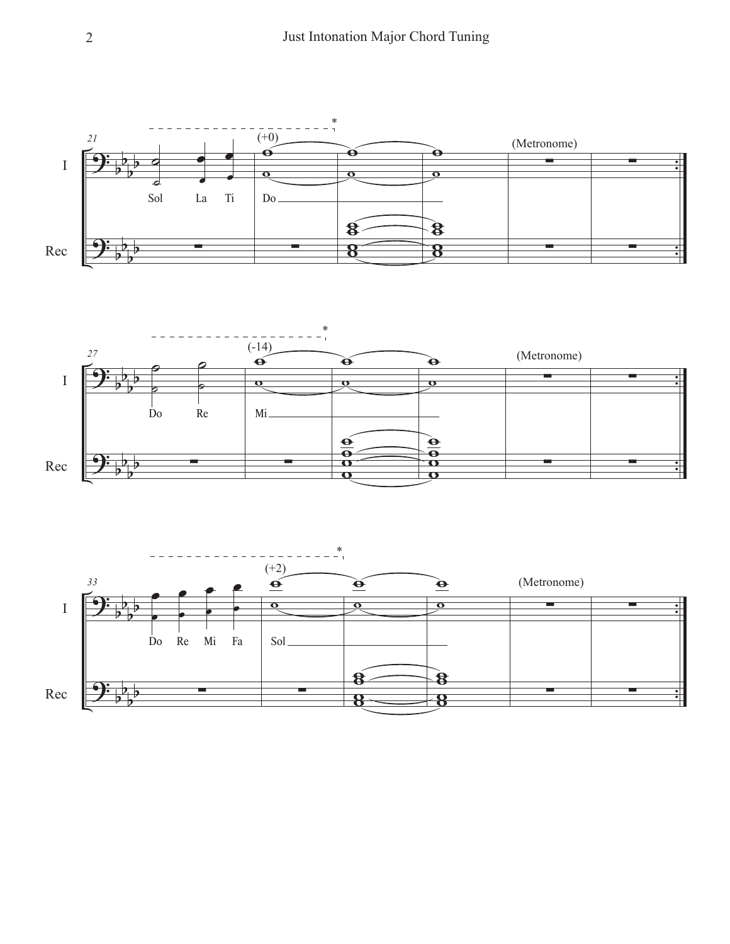